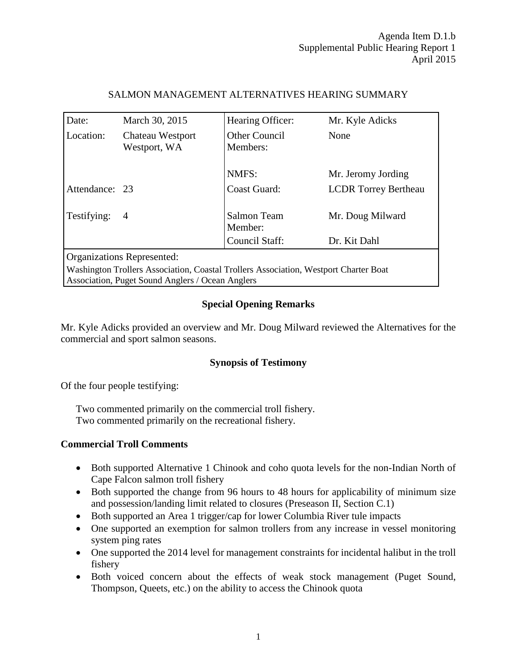| Date:                                                                                                                                    | March 30, 2015                   | Hearing Officer:          | Mr. Kyle Adicks             |
|------------------------------------------------------------------------------------------------------------------------------------------|----------------------------------|---------------------------|-----------------------------|
| Location:                                                                                                                                | Chateau Westport<br>Westport, WA | Other Council<br>Members: | None                        |
|                                                                                                                                          |                                  | NMFS:                     | Mr. Jeromy Jording          |
| Attendance: 23                                                                                                                           |                                  | <b>Coast Guard:</b>       | <b>LCDR</b> Torrey Bertheau |
| Testifying:                                                                                                                              | $\overline{4}$                   | Salmon Team<br>Member:    | Mr. Doug Milward            |
|                                                                                                                                          |                                  | Council Staff:            | Dr. Kit Dahl                |
| Organizations Represented:                                                                                                               |                                  |                           |                             |
| Washington Trollers Association, Coastal Trollers Association, Westport Charter Boat<br>Association, Puget Sound Anglers / Ocean Anglers |                                  |                           |                             |

## SALMON MANAGEMENT ALTERNATIVES HEARING SUMMARY

**Special Opening Remarks**

Mr. Kyle Adicks provided an overview and Mr. Doug Milward reviewed the Alternatives for the commercial and sport salmon seasons.

## **Synopsis of Testimony**

Of the four people testifying:

Two commented primarily on the commercial troll fishery. Two commented primarily on the recreational fishery.

#### **Commercial Troll Comments**

- Both supported Alternative 1 Chinook and coho quota levels for the non-Indian North of Cape Falcon salmon troll fishery
- Both supported the change from 96 hours to 48 hours for applicability of minimum size and possession/landing limit related to closures (Preseason II, Section C.1)
- Both supported an Area 1 trigger/cap for lower Columbia River tule impacts
- One supported an exemption for salmon trollers from any increase in vessel monitoring system ping rates
- One supported the 2014 level for management constraints for incidental halibut in the troll fishery
- Both voiced concern about the effects of weak stock management (Puget Sound, Thompson, Queets, etc.) on the ability to access the Chinook quota